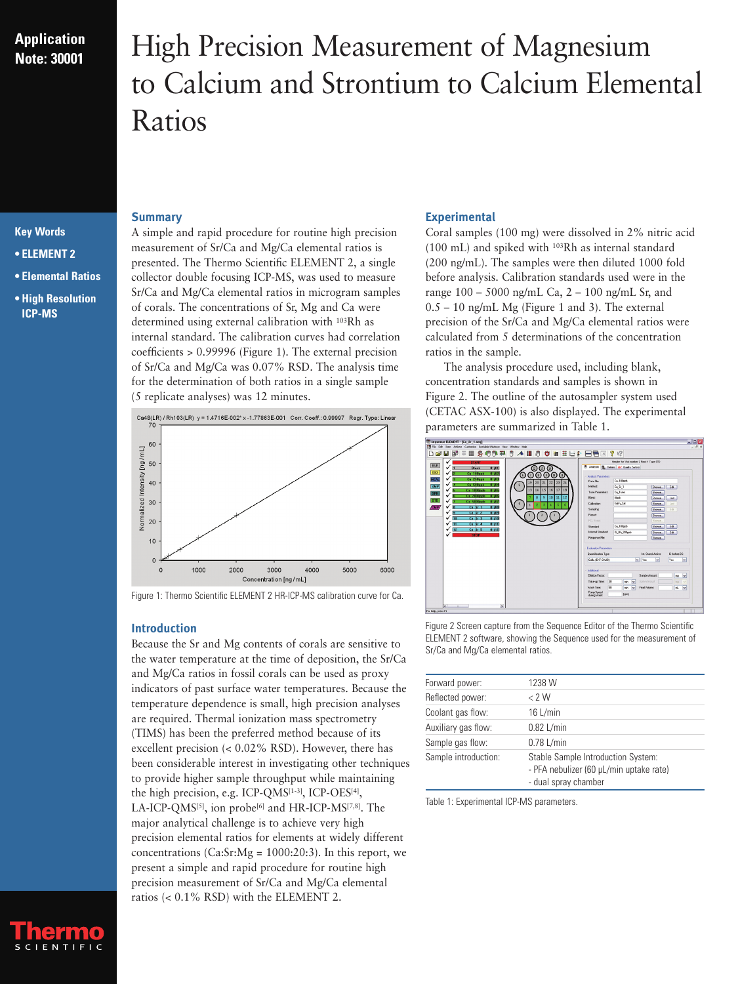## **Application Note: 30001**

# High Precision Measurement of Magnesium to Calcium and Strontium to Calcium Elemental Ratios

### **Key Words**

- **ELEMENT 2**
- **Elemental Ratios**
- **High Resolution ICP-MS**

### **Summary**

A simple and rapid procedure for routine high precision measurement of Sr/Ca and Mg/Ca elemental ratios is presented. The Thermo Scientific ELEMENT 2, a single collector double focusing ICP-MS, was used to measure Sr/Ca and Mg/Ca elemental ratios in microgram samples of corals. The concentrations of Sr, Mg and Ca were determined using external calibration with 103Rh as internal standard. The calibration curves had correlation coefficients > 0.99996 (Figure 1). The external precision of Sr/Ca and Mg/Ca was 0.07% RSD. The analysis time for the determination of both ratios in a single sample (5 replicate analyses) was 12 minutes.



Figure 1: Thermo Scientific ELEMENT 2 HR-ICP-MS calibration curve for Ca.

#### **Introduction**

Because the Sr and Mg contents of corals are sensitive to the water temperature at the time of deposition, the Sr/Ca and Mg/Ca ratios in fossil corals can be used as proxy indicators of past surface water temperatures. Because the temperature dependence is small, high precision analyses are required. Thermal ionization mass spectrometry (TIMS) has been the preferred method because of its excellent precision (< 0.02% RSD). However, there has been considerable interest in investigating other techniques to provide higher sample throughput while maintaining the high precision, e.g. ICP-QMS[1-3], ICP-OES[4], LA-ICP-QMS<sup>[5]</sup>, ion probe<sup>[6]</sup> and HR-ICP-MS<sup>[7,8]</sup>. The major analytical challenge is to achieve very high precision elemental ratios for elements at widely different concentrations  $(Ca:Sr:Mg = 1000:20:3)$ . In this report, we present a simple and rapid procedure for routine high precision measurement of Sr/Ca and Mg/Ca elemental ratios (< 0.1% RSD) with the ELEMENT 2.

#### **Experimental**

Coral samples (100 mg) were dissolved in 2% nitric acid (100 mL) and spiked with 103Rh as internal standard (200 ng/mL). The samples were then diluted 1000 fold before analysis. Calibration standards used were in the range 100 – 5000 ng/mL Ca, 2 – 100 ng/mL Sr, and  $0.5 - 10$  ng/mL Mg (Figure 1 and 3). The external precision of the Sr/Ca and Mg/Ca elemental ratios were calculated from 5 determinations of the concentration ratios in the sample.

The analysis procedure used, including blank, concentration standards and samples is shown in Figure 2. The outline of the autosampler system used (CETAC ASX-100) is also displayed. The experimental parameters are summarized in Table 1.



Figure 2 Screen capture from the Sequence Editor of the Thermo Scientific ELEMENT 2 software, showing the Sequence used for the measurement of Sr/Ca and Mg/Ca elemental ratios.

| Forward power:       | 1238 W                                                                                                |
|----------------------|-------------------------------------------------------------------------------------------------------|
| Reflected power:     | $\langle$ 2 W                                                                                         |
| Coolant gas flow:    | 16 L/min                                                                                              |
| Auxiliary gas flow:  | $0.82$ L/min                                                                                          |
| Sample gas flow:     | $0.78$ L/min                                                                                          |
| Sample introduction: | Stable Sample Introduction System:<br>- PFA nebulizer (60 µL/min uptake rate)<br>- dual spray chamber |

Table 1: Experimental ICP-MS parameters.